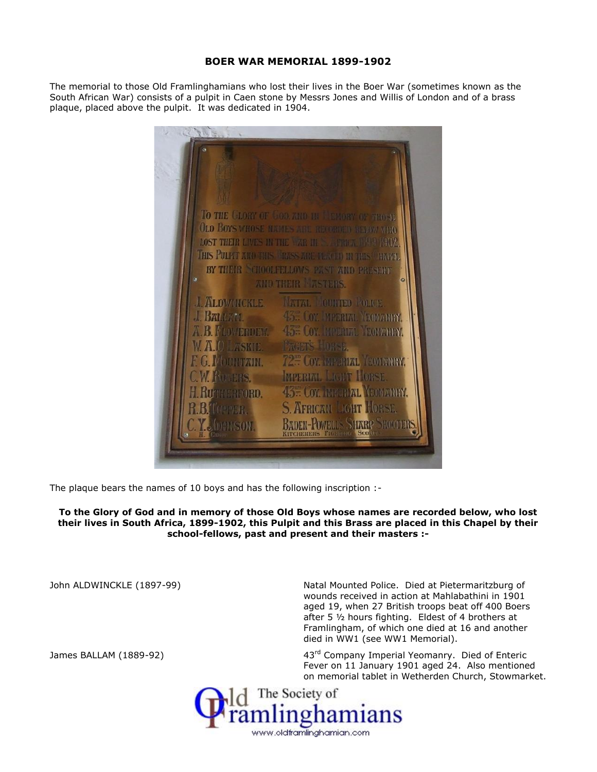## **BOER WAR MEMORIAL 1899-1902**

The memorial to those Old Framlinghamians who lost their lives in the Boer War (sometimes known as the South African War) consists of a pulpit in Caen stone by Messrs Jones and Willis of London and of a brass plaque, placed above the pulpit. It was dedicated in 1904.



The plaque bears the names of 10 boys and has the following inscription :-

**To the Glory of God and in memory of those Old Boys whose names are recorded below, who lost their lives in South Africa, 1899-1902, this Pulpit and this Brass are placed in this Chapel by their school-fellows, past and present and their masters :-**

John ALDWINCKLE (1897-99) Natal Mounted Police. Died at Pietermaritzburg of wounds received in action at Mahlabathini in 1901 aged 19, when 27 British troops beat off 400 Boers after 5 ½ hours fighting. Eldest of 4 brothers at Framlingham, of which one died at 16 and another died in WW1 (see WW1 Memorial).

James BALLAM (1889-92) **1998** 43<sup>rd</sup> Company Imperial Yeomanry. Died of Enteric Fever on 11 January 1901 aged 24. Also mentioned on memorial tablet in Wetherden Church, Stowmarket.

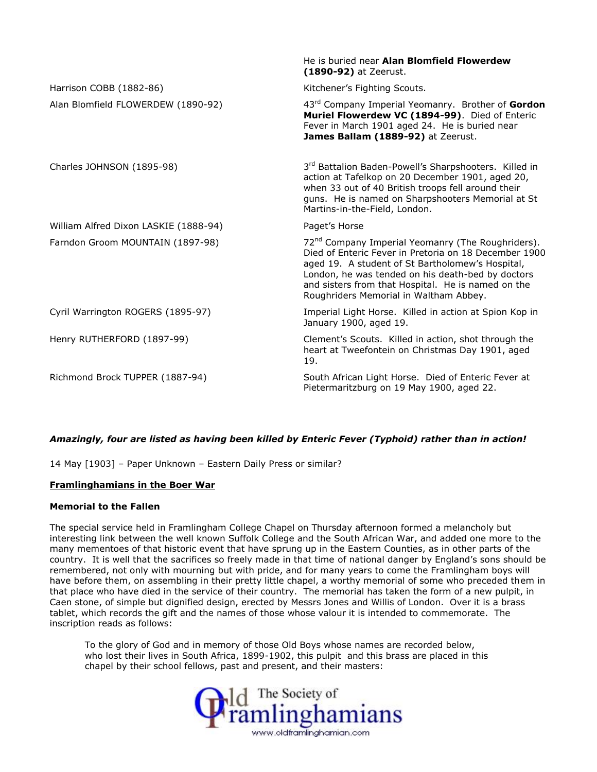|                                       | He is buried near <b>Alan Blomfield Flowerdew</b><br>(1890-92) at Zeerust.                                                                                                                                                                                                                                                      |
|---------------------------------------|---------------------------------------------------------------------------------------------------------------------------------------------------------------------------------------------------------------------------------------------------------------------------------------------------------------------------------|
| Harrison COBB (1882-86)               | Kitchener's Fighting Scouts.                                                                                                                                                                                                                                                                                                    |
| Alan Blomfield FLOWERDEW (1890-92)    | 43rd Company Imperial Yeomanry. Brother of Gordon<br>Muriel Flowerdew VC (1894-99). Died of Enteric<br>Fever in March 1901 aged 24. He is buried near<br>James Ballam (1889-92) at Zeerust.                                                                                                                                     |
| Charles JOHNSON (1895-98)             | 3rd Battalion Baden-Powell's Sharpshooters. Killed in<br>action at Tafelkop on 20 December 1901, aged 20,<br>when 33 out of 40 British troops fell around their<br>guns. He is named on Sharpshooters Memorial at St<br>Martins-in-the-Field, London.                                                                           |
| William Alfred Dixon LASKIE (1888-94) | Paget's Horse                                                                                                                                                                                                                                                                                                                   |
| Farndon Groom MOUNTAIN (1897-98)      | 72 <sup>nd</sup> Company Imperial Yeomanry (The Roughriders).<br>Died of Enteric Fever in Pretoria on 18 December 1900<br>aged 19. A student of St Bartholomew's Hospital,<br>London, he was tended on his death-bed by doctors<br>and sisters from that Hospital. He is named on the<br>Roughriders Memorial in Waltham Abbey. |
| Cyril Warrington ROGERS (1895-97)     | Imperial Light Horse. Killed in action at Spion Kop in<br>January 1900, aged 19.                                                                                                                                                                                                                                                |
| Henry RUTHERFORD (1897-99)            | Clement's Scouts. Killed in action, shot through the<br>heart at Tweefontein on Christmas Day 1901, aged<br>19.                                                                                                                                                                                                                 |
| Richmond Brock TUPPER (1887-94)       | South African Light Horse. Died of Enteric Fever at<br>Pietermaritzburg on 19 May 1900, aged 22.                                                                                                                                                                                                                                |

## *Amazingly, four are listed as having been killed by Enteric Fever (Typhoid) rather than in action!*

14 May [1903] – Paper Unknown – Eastern Daily Press or similar?

## **Framlinghamians in the Boer War**

## **Memorial to the Fallen**

The special service held in Framlingham College Chapel on Thursday afternoon formed a melancholy but interesting link between the well known Suffolk College and the South African War, and added one more to the many mementoes of that historic event that have sprung up in the Eastern Counties, as in other parts of the country. It is well that the sacrifices so freely made in that time of national danger by England's sons should be remembered, not only with mourning but with pride, and for many years to come the Framlingham boys will have before them, on assembling in their pretty little chapel, a worthy memorial of some who preceded them in that place who have died in the service of their country. The memorial has taken the form of a new pulpit, in Caen stone, of simple but dignified design, erected by Messrs Jones and Willis of London. Over it is a brass tablet, which records the gift and the names of those whose valour it is intended to commemorate. The inscription reads as follows:

To the glory of God and in memory of those Old Boys whose names are recorded below, who lost their lives in South Africa, 1899-1902, this pulpit and this brass are placed in this chapel by their school fellows, past and present, and their masters: